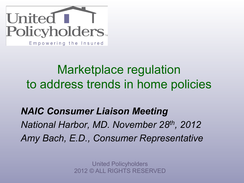

## Marketplace regulation to address trends in home policies

*NAIC Consumer Liaison Meeting National Harbor, MD. November 28th, 2012 Amy Bach, E.D., Consumer Representative*

> United Policyholders 2012 © ALL RIGHTS RESERVED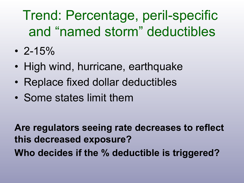# Trend: Percentage, peril-specific and "named storm" deductibles

- $\cdot$  2-15%
- High wind, hurricane, earthquake
- Replace fixed dollar deductibles
- Some states limit them

**Are regulators seeing rate decreases to reflect this decreased exposure? Who decides if the % deductible is triggered?**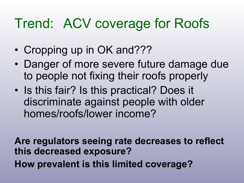## Trend: ACV coverage for Roofs

- Cropping up in OK and???
- Danger of more severe future damage due to people not fixing their roofs properly
- Is this fair? Is this practical? Does it discriminate against people with older homes/roofs/lower income?

**Are regulators seeing rate decreases to reflect this decreased exposure? How prevalent is this limited coverage?**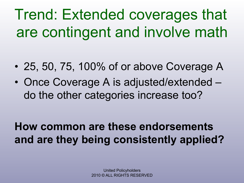Trend: Extended coverages that are contingent and involve math

- 25, 50, 75, 100% of or above Coverage A
- Once Coverage A is adjusted/extended do the other categories increase too?

**How common are these endorsements and are they being consistently applied?**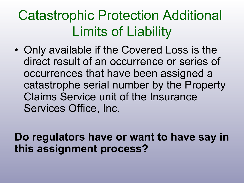# Catastrophic Protection Additional Limits of Liability

• Only available if the Covered Loss is the direct result of an occurrence or series of occurrences that have been assigned a catastrophe serial number by the Property Claims Service unit of the Insurance Services Office, Inc.

**Do regulators have or want to have say in this assignment process?**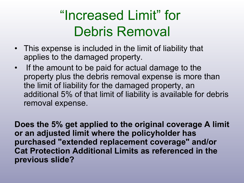# "Increased Limit" for Debris Removal

- This expense is included in the limit of liability that applies to the damaged property.
- If the amount to be paid for actual damage to the property plus the debris removal expense is more than the limit of liability for the damaged property, an additional 5% of that limit of liability is available for debris removal expense.

**Does the 5% get applied to the original coverage A limit or an adjusted limit where the policyholder has purchased "extended replacement coverage" and/or Cat Protection Additional Limits as referenced in the previous slide?**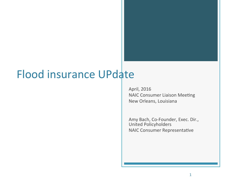### Flood insurance UPdate

April, 2016 NAIC Consumer Liaison Meeting New Orleans, Louisiana

Amy Bach, Co-Founder, Exec. Dir., United Policyholders NAIC Consumer Representative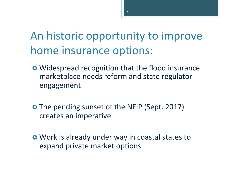### An historic opportunity to improve home insurance options:

- **•** Widespread recognition that the flood insurance marketplace needs reform and state regulator engagement
- **O** The pending sunset of the NFIP (Sept. 2017) creates an imperative
- **o** Work is already under way in coastal states to expand private market options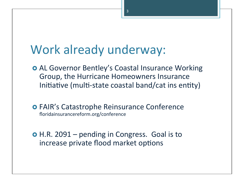### Work already underway:

- **AL Governor Bentley's Coastal Insurance Working** Group, the Hurricane Homeowners Insurance Initiative (multi-state coastal band/cat ins entity)
- **O** FAIR's Catastrophe Reinsurance Conference floridainsurancereform.org/conference
- $\bullet$  H.R. 2091 pending in Congress. Goal is to increase private flood market options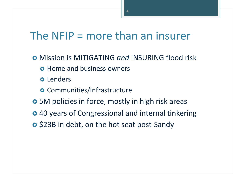### The  $NFIP =$  more than an insurer

- **o** Mission is MITIGATING and INSURING flood risk
	- **o** Home and business owners
	- o Lenders
	- **o** Communities/Infrastructure
- **o** 5M policies in force, mostly in high risk areas
- **o** 40 years of Congressional and internal tinkering
- **o** \$23B in debt, on the hot seat post-Sandy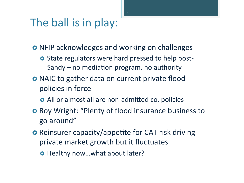#### The ball is in play:

- **o** NFIP acknowledges and working on challenges
	- **o** State regulators were hard pressed to help post-Sandy – no mediation program, no authority
- **o** NAIC to gather data on current private flood policies in force
	- **o** All or almost all are non-admitted co. policies
- **o** Roy Wright: "Plenty of flood insurance business to go around"
- **O** Reinsurer capacity/appetite for CAT risk driving private market growth but it fluctuates
	- o Healthy now...what about later?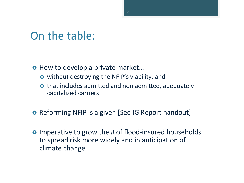#### On the table:

o How to develop a private market...

- **o** without destroying the NFIP's viability, and
- **o** that includes admitted and non admitted, adequately capitalized carriers
- **o** Reforming NFIP is a given [See IG Report handout]
- **O** Imperative to grow the # of flood-insured households to spread risk more widely and in anticipation of climate change